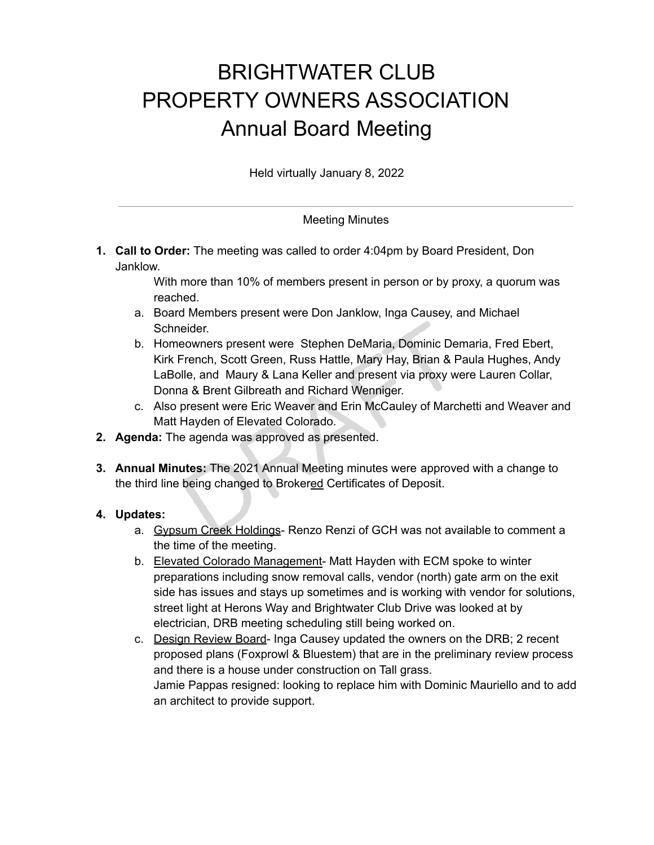## BRIGHTWATER CLUB PROPERTY OWNERS ASSOCIATION Annual Board Meeting

Held virtually January 8, 2022

Meeting Minutes

**1. Call to Order:** The meeting was called to order 4:04pm by Board President, Don Janklow.

> With more than 10% of members present in person or by proxy, a quorum was reached.

- a. Board Members present were Don Janklow, Inga Causey, and Michael Schneider.
- b. Homeowners present were Stephen DeMaria, Dominic Demaria, Fred Ebert, Kirk French, Scott Green, Russ Hattle, Mary Hay, Brian & Paula Hughes, Andy LaBolle, and Maury & Lana Keller and present via proxy were Lauren Collar, Donna & Brent Gilbreath and Richard Wenniger.
- c. Also present were Eric Weaver and Erin McCauley of Marchetti and Weaver and Matt Hayden of Elevated Colorado.
- **2. Agenda:** The agenda was approved as presented.
- **3. Annual Minutes:** The 2021 Annual Meeting minutes were approved with a change to the third line being changed to Brokered Certificates of Deposit.

## **4. Updates:**

- a. Gypsum Creek Holdings- Renzo Renzi of GCH was not available to comment a the time of the meeting.
- b. Elevated Colorado Management- Matt Hayden with ECM spoke to winter preparations including snow removal calls, vendor (north) gate arm on the exit side has issues and stays up sometimes and is working with vendor for solutions, street light at Herons Way and Brightwater Club Drive was looked at by electrician, DRB meeting scheduling still being worked on.
- c. Design Review Board- Inga Causey updated the owners on the DRB; 2 recent proposed plans (Foxprowl & Bluestem) that are in the preliminary review process and there is a house under construction on Tall grass. Jamie Pappas resigned: looking to replace him with Dominic Mauriello and to add an architect to provide support.